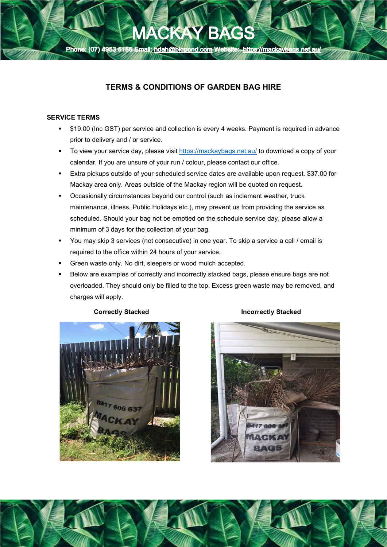

# TERMS & CONDITIONS OF GARDEN BAG HIRE

### SERVICE TERMS

ľ

- \$19.00 (Inc GST) per service and collection is every 4 weeks. Payment is required in advance prior to delivery and / or service.
- To view your service day, please visit https://mackaybags.net.au/ to download a copy of your calendar. If you are unsure of your run / colour, please contact our office.
- Extra pickups outside of your scheduled service dates are available upon request. \$37.00 for Mackay area only. Areas outside of the Mackay region will be quoted on request.
- Occasionally circumstances beyond our control (such as inclement weather, truck maintenance, illness, Public Holidays etc.), may prevent us from providing the service as scheduled. Should your bag not be emptied on the schedule service day, please allow a minimum of 3 days for the collection of your bag.
- You may skip 3 services (not consecutive) in one year. To skip a service a call / email is required to the office within 24 hours of your service.
- Green waste only. No dirt, sleepers or wood mulch accepted.
- Below are examples of correctly and incorrectly stacked bags, please ensure bags are not overloaded. They should only be filled to the top. Excess green waste may be removed, and charges will apply.



#### Correctly Stacked **Incorrectly Stacked**